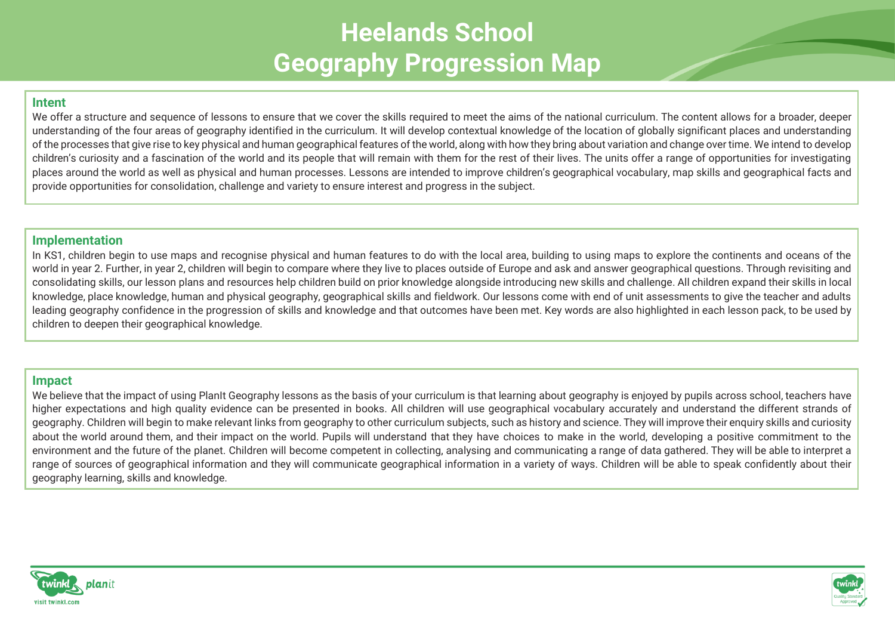# **Heelands School Geography Progression Map**

Progression Map

## **Intent**

We offer a structure and sequence of lessons to ensure that we cover the skills required to meet the aims of the national curriculum. The content allows for a broader, deeper understanding of the four areas of geography identified in the curriculum. It will develop contextual knowledge of the location of globally significant places and understanding of the processes that give rise to key physical and human geographical features of the world, along with how they bring about variation and change over time. We intend to develop children's curiosity and a fascination of the world and its people that will remain with them for the rest of their lives. The units offer a range of opportunities for investigating places around the world as well as physical and human processes. Lessons are intended to improve children's geographical vocabulary, map skills and geographical facts and provide opportunities for consolidation, challenge and variety to ensure interest and progress in the subject.

## **Implementation**

In KS1, children begin to use maps and recognise physical and human features to do with the local area, building to using maps to explore the continents and oceans of the world in year 2. Further, in year 2, children will begin to compare where they live to places outside of Europe and ask and answer geographical questions. Through revisiting and consolidating skills, our lesson plans and resources help children build on prior knowledge alongside introducing new skills and challenge. All children expand their skills in local knowledge, place knowledge, human and physical geography, geographical skills and fieldwork. Our lessons come with end of unit assessments to give the teacher and adults leading geography confidence in the progression of skills and knowledge and that outcomes have been met. Key words are also highlighted in each lesson pack, to be used by children to deepen their geographical knowledge.

## **Impact**

We believe that the impact of using PlanIt Geography lessons as the basis of your curriculum is that learning about geography is enjoyed by pupils across school, teachers have higher expectations and high quality evidence can be presented in books. All children will use geographical vocabulary accurately and understand the different strands of geography. Children will begin to make relevant links from geography to other curriculum subjects, such as history and science. They will improve their enquiry skills and curiosity about the world around them, and their impact on the world. Pupils will understand that they have choices to make in the world, developing a positive commitment to the environment and the future of the planet. Children will become competent in collecting, analysing and communicating a range of data gathered. They will be able to interpret a range of sources of geographical information and they will communicate geographical information in a variety of ways. Children will be able to speak confidently about their geography learning, skills and knowledge.



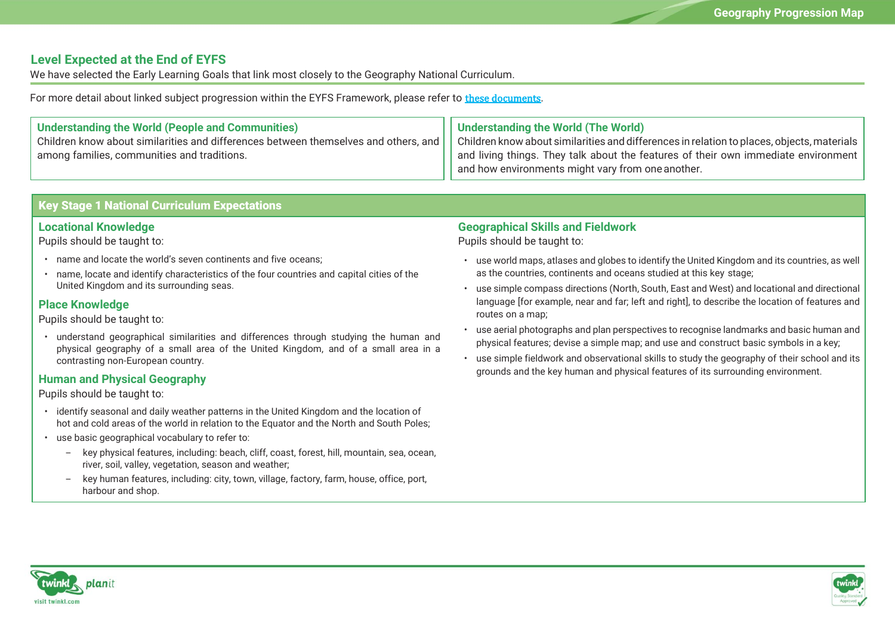# **Level Expected at the End of EYFS**

We have selected the Early Learning Goals that link most closely to the Geography National Curriculum.

For more detail about linked subject progression within the EYFS Framework, please refer to [these documents](https://www.twinkl.co.uk/resource/learning-in-eyfs-what-subject-leaders-need-to-know-resource-pack-t-tp-2548825).

| Understanding the World (People and Communities)                                    | Understanding the World (The World)                                                                                                     |  |  |
|-------------------------------------------------------------------------------------|-----------------------------------------------------------------------------------------------------------------------------------------|--|--|
| Children know about similarities and differences between themselves and others, and | Children know about similarities and differences in relation to places, objects, materials                                              |  |  |
| among families, communities and traditions.                                         | and living things. They talk about the features of their own immediate environment<br>and how environments might vary from one another. |  |  |

# **Key Stage 1 National Curriculum Expectations**

#### **Locational Knowledge**

Pupils should be taught to:

- name and locate the world's seven continents and five oceans;
- name, locate and identify characteristics of the four countries and capital cities of the United Kingdom and its surrounding seas.

## **Place Knowledge**

Pupils should be taught to:

• understand geographical similarities and differences through studying the human and physical geography of a small area of the United Kingdom, and of a small area in a contrasting non-European country.

## **Human and Physical Geography**

Pupils should be taught to:

- identify seasonal and daily weather patterns in the United Kingdom and the location of hot and cold areas of the world in relation to the Equator and the North and South Poles;
- use basic geographical vocabulary to refer to:
	- key physical features, including: beach, cliff, coast, forest, hill, mountain, sea, ocean, river, soil, valley, vegetation, season and weather;
	- key human features, including: city, town, village, factory, farm, house, office, port, harbour and shop.

## **Geographical Skills and Fieldwork**

Pupils should be taught to:

- use world maps, atlases and globes to identify the United Kingdom and its countries, as well as the countries, continents and oceans studied at this key stage;
- use simple compass directions (North, South, East and West) and locational and directional language [for example, near and far; left and right], to describe the location of features and routes on a map;
- use aerial photographs and plan perspectives to recognise landmarks and basic human and physical features; devise a simple map; and use and construct basic symbols in a key;
- use simple fieldwork and observational skills to study the geography of their school and its grounds and the key human and physical features of its surrounding environment.



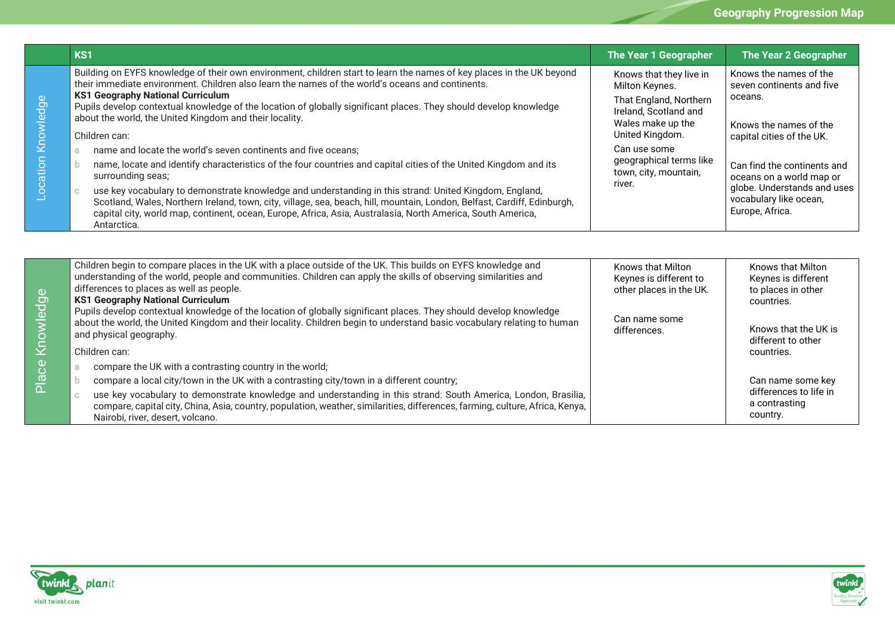|                                | KS <sub>1</sub>                                                                                                                                                                                                                                                                                                                                                                                                                                                                                                                                                                                                                                                                                                                                                                                                                                                                                                                                                                                                                                      | The Year 1 Geographer                                                                                                                                                                                              | The Year 2 Geographer                                                                                                                                                                                                                                        |
|--------------------------------|------------------------------------------------------------------------------------------------------------------------------------------------------------------------------------------------------------------------------------------------------------------------------------------------------------------------------------------------------------------------------------------------------------------------------------------------------------------------------------------------------------------------------------------------------------------------------------------------------------------------------------------------------------------------------------------------------------------------------------------------------------------------------------------------------------------------------------------------------------------------------------------------------------------------------------------------------------------------------------------------------------------------------------------------------|--------------------------------------------------------------------------------------------------------------------------------------------------------------------------------------------------------------------|--------------------------------------------------------------------------------------------------------------------------------------------------------------------------------------------------------------------------------------------------------------|
| $\omega$<br><b>Jedy</b><br>cat | Building on EYFS knowledge of their own environment, children start to learn the names of key places in the UK beyond<br>their immediate environment. Children also learn the names of the world's oceans and continents.<br><b>KS1 Geography National Curriculum</b><br>Pupils develop contextual knowledge of the location of globally significant places. They should develop knowledge<br>about the world, the United Kingdom and their locality.<br>Children can:<br>name and locate the world's seven continents and five oceans:<br>name, locate and identify characteristics of the four countries and capital cities of the United Kingdom and its<br>surrounding seas;<br>use key vocabulary to demonstrate knowledge and understanding in this strand: United Kingdom, England,<br>Scotland, Wales, Northern Ireland, town, city, village, sea, beach, hill, mountain, London, Belfast, Cardiff, Edinburgh,<br>capital city, world map, continent, ocean, Europe, Africa, Asia, Australasia, North America, South America,<br>Antarctica. | Knows that they live in<br>Milton Keynes.<br>That England, Northern<br>Ireland, Scotland and<br>Wales make up the<br>United Kingdom.<br>Can use some<br>geographical terms like<br>town, city, mountain,<br>river. | Knows the names of the<br>seven continents and five<br>oceans.<br>Knows the names of the<br>capital cities of the UK.<br>Can find the continents and<br>oceans on a world map or<br>globe. Understands and uses<br>vocabulary like ocean,<br>Europe, Africa. |

| Knowledge<br>Place | Children begin to compare places in the UK with a place outside of the UK. This builds on EYFS knowledge and<br>understanding of the world, people and communities. Children can apply the skills of observing similarities and<br>differences to places as well as people.<br><b>KS1 Geography National Curriculum</b> | Knows that Milton<br>Keynes is different to<br>other places in the UK. | <b>Knows that Milton</b><br>Keynes is different<br>to places in other<br>countries. |
|--------------------|-------------------------------------------------------------------------------------------------------------------------------------------------------------------------------------------------------------------------------------------------------------------------------------------------------------------------|------------------------------------------------------------------------|-------------------------------------------------------------------------------------|
|                    | Pupils develop contextual knowledge of the location of globally significant places. They should develop knowledge<br>about the world, the United Kingdom and their locality. Children begin to understand basic vocabulary relating to human<br>and physical geography.<br>Children can:                                | Can name some<br>differences.                                          | Knows that the UK is<br>different to other<br>countries.                            |
|                    | compare the UK with a contrasting country in the world;<br>-a                                                                                                                                                                                                                                                           |                                                                        |                                                                                     |
|                    | compare a local city/town in the UK with a contrasting city/town in a different country;                                                                                                                                                                                                                                |                                                                        | Can name some key                                                                   |
|                    | use key vocabulary to demonstrate knowledge and understanding in this strand: South America, London, Brasilia,<br>compare, capital city, China, Asia, country, population, weather, similarities, differences, farming, culture, Africa, Kenya,<br>Nairobi, river, desert, volcano.                                     |                                                                        | differences to life in<br>a contrasting<br>country.                                 |